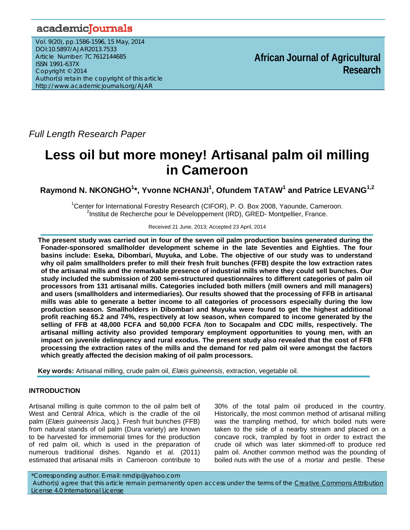## academicJournals

Vol. 9(20), pp.1586-1596, 15 May, 2014 DOI:10.5897/AJAR2013.7533 Article Number: 7C7612144685 ISSN 1991-637X Copyright © 2014 Author(s) retain the copyright of this article http://www.academicjournals.org/AJAR

**African Journal of Agricultural Research**

*Full Length Research Paper*

# **Less oil but more money! Artisanal palm oil milling in Cameroon**

**Raymond N. NKONGHO<sup>1</sup> \*, Yvonne NCHANJI1 , Ofundem TATAW1 and Patrice LEVANG1,2**

<sup>1</sup>Center for International Forestry Research (CIFOR), P. O. Box 2008, Yaounde, Cameroon. <sup>2</sup>Institut de Recherche pour le Développement (IRD), GRED- Montpellier, France.

Received 21 June, 2013; Accepted 23 April, 2014

**The present study was carried out in four of the seven oil palm production basins generated during the Fonader-sponsored smallholder development scheme in the late Seventies and Eighties. The four basins include: Eseka, Dibombari, Muyuka, and Lobe. The objective of our study was to understand why oil palm smallholders prefer to mill their fresh fruit bunches (FFB) despite the low extraction rates of the artisanal mills and the remarkable presence of industrial mills where they could sell bunches. Our study included the submission of 200 semi-structured questionnaires to different categories of palm oil processors from 131 artisanal mills. Categories included both millers (mill owners and mill managers) and users (smallholders and intermediaries). Our results showed that the processing of FFB in artisanal mills was able to generate a better income to all categories of processors especially during the low production season. Smallholders in Dibombari and Muyuka were found to get the highest additional profit reaching 65.2 and 74%, respectively at low season, when compared to income generated by the selling of FFB at 48,000 FCFA and 50,000 FCFA /ton to Socapalm and CDC mills, respectively. The artisanal milling activity also provided temporary employment opportunities to young men, with an impact on juvenile delinquency and rural exodus. The present study also revealed that the cost of FFB processing the extraction rates of the mills and the demand for red palm oil were amongst the factors which greatly affected the decision making of oil palm processors.** 

**Key words:** Artisanal milling, crude palm oil, *Elæis guineensis*, extraction, vegetable oil.

## **INTRODUCTION**

Artisanal milling is quite common to the oil palm belt of West and Central Africa, which is the cradle of the oil palm (*Elæis guineensis* Jacq.). Fresh fruit bunches (FFB) from natural stands of oil palm (Dura variety) are known to be harvested for immemorial times for the production of red palm oil, which is used in the preparation of numerous traditional dishes. Ngando et al. (2011) estimated that artisanal mills in Cameroon contribute to

30% of the total palm oil produced in the country. Historically, the most common method of artisanal milling was the trampling method, for which boiled nuts were taken to the side of a nearby stream and placed on a concave rock, trampled by foot in order to extract the crude oil which was later skimmed-off to produce red palm oil. Another common method was the pounding of boiled nuts with the use of a mortar and pestle. These

\*Corresponding author. E-mail: nrndip@yahoo.com Author(s) agree that this article remain permanently open access under the terms of the Creative Commons Attribution License 4.0 International License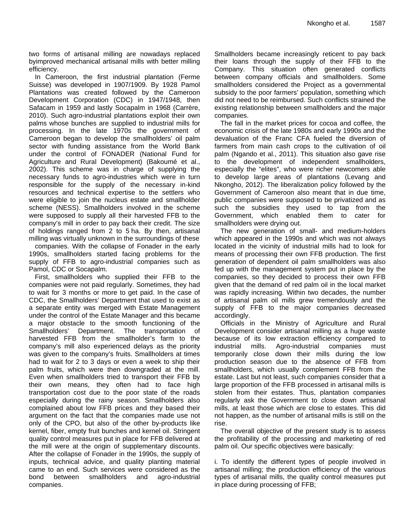two forms of artisanal milling are nowadays replaced byimproved mechanical artisanal mills with better milling efficiency.

In Cameroon, the first industrial plantation (Ferme Suisse) was developed in 1907/1909. By 1928 Pamol Plantations was created followed by the Cameroon Development Corporation (CDC) in 1947/1948, then Safacam in 1959 and lastly Socapalm in 1968 (Carrère, 2010). Such agro-industrial plantations exploit their own palms whose bunches are supplied to industrial mills for processing. In the late 1970s the government of Cameroon began to develop the smallholders' oil palm sector with funding assistance from the World Bank under the control of FONADER (National Fund for Agriculture and Rural Development) (Bakoumé et al., 2002). This scheme was in charge of supplying the necessary funds to agro-industries which were in turn responsible for the supply of the necessary in-kind resources and technical expertise to the settlers who were eligible to join the nucleus estate and smallholder scheme (NESS). Smallholders involved in the scheme were supposed to supply all their harvested FFB to the company's mill in order to pay back their credit. The size of holdings ranged from 2 to 5 ha. By then, artisanal milling was virtually unknown in the surroundings of these

companies. With the collapse of Fonader in the early 1990s, smallholders started facing problems for the supply of FFB to agro-industrial companies such as Pamol, CDC or Socapalm.

First, smallholders who supplied their FFB to the companies were not paid regularly. Sometimes, they had to wait for 3 months or more to get paid. In the case of CDC, the Smallholders' Department that used to exist as a separate entity was merged with Estate Management under the control of the Estate Manager and this became a major obstacle to the smooth functioning of the Smallholders' Department. The transportation of harvested FFB from the smallholder's farm to the company's mill also experienced delays as the priority was given to the company's fruits. Smallholders at times had to wait for 2 to 3 days or even a week to ship their palm fruits, which were then downgraded at the mill. Even when smallholders tried to transport their FFB by their own means, they often had to face high transportation cost due to the poor state of the roads especially during the rainy season. Smallholders also complained about low FFB prices and they based their argument on the fact that the companies made use not only of the CPO, but also of the other by-products like kernel, fiber, empty fruit bunches and kernel oil. Stringent quality control measures put in place for FFB delivered at the mill were at the origin of supplementary discounts. After the collapse of Fonader in the 1990s, the supply of inputs, technical advice, and quality planting material came to an end. Such services were considered as the bond between smallholders and agro-industrial companies.

Smallholders became increasingly reticent to pay back their loans through the supply of their FFB to the Company. This situation often generated conflicts between company officials and smallholders. Some smallholders considered the Project as a governmental subsidy to the poor farmers' population, something which did not need to be reimbursed. Such conflicts strained the existing relationship between smallholders and the major companies.

The fall in the market prices for cocoa and coffee, the economic crisis of the late 1980s and early 1990s and the devaluation of the Franc CFA fueled the diversion of farmers from main cash crops to the cultivation of oil palm (Ngando et al., 2011). This situation also gave rise to the development of independent smallholders, especially the "elites", who were richer newcomers able to develop large areas of plantations (Levang and Nkongho, 2012). The liberalization policy followed by the Government of Cameroon also meant that in due time, public companies were supposed to be privatized and as such the subsidies they used to tap from the Government, which enabled them to cater for smallholders were drying out.

The new generation of small- and medium-holders which appeared in the 1990s and which was not always located in the vicinity of industrial mills had to look for means of processing their own FFB production. The first generation of dependent oil palm smallholders was also fed up with the management system put in place by the companies, so they decided to process their own FFB given that the demand of red palm oil in the local market was rapidly increasing. Within two decades, the number of artisanal palm oil mills grew tremendously and the supply of FFB to the major companies decreased accordingly.

Officials in the Ministry of Agriculture and Rural Development consider artisanal milling as a huge waste because of its low extraction efficiency compared to industrial mills. Agro-industrial companies must temporarily close down their mills during the low production season due to the absence of FFB from smallholders, which usually complement FFB from the estate. Last but not least, such companies consider that a large proportion of the FFB processed in artisanal mills is stolen from their estates. Thus, plantation companies regularly ask the Government to close down artisanal mills, at least those which are close to estates. This did not happen, as the number of artisanal mills is still on the rise.

The overall objective of the present study is to assess the profitability of the processing and marketing of red palm oil. Our specific objectives were basically:

i. To identify the different types of people involved in artisanal milling; the production efficiency of the various types of artisanal mills, the quality control measures put in place during processing of FFB;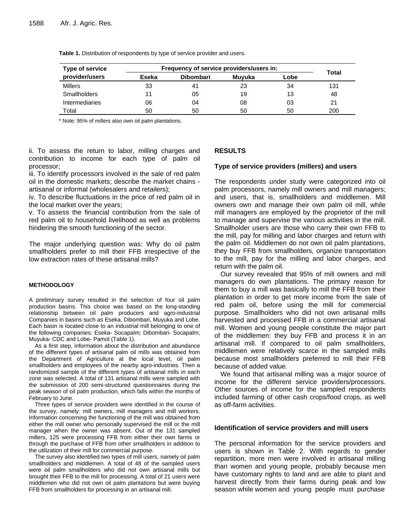| Type of service       | Frequency of service providers/users in: | Total            |        |      |     |
|-----------------------|------------------------------------------|------------------|--------|------|-----|
| provider/users        | Eseka                                    | <b>Dibombari</b> | Muvuka | Lobe |     |
| <b>Millers</b>        | 33                                       | 41               | 23     | 34   | 131 |
| <b>Smallholders</b>   | 11                                       | 05               | 19     | 13   | 48  |
| <b>Intermediaries</b> | 06                                       | 04               | 08     | 03   | 21  |
| Total                 | 50                                       | 50               | 50     | 50   | 200 |

**Table 1.** Distribution of respondents by type of service provider and users.

\* Note: 95% of millers also own oil palm plantations.

ii. To assess the return to labor, milling charges and contribution to income for each type of palm oil processor;

iii. To identify processors involved in the sale of red palm oil in the domestic markets; describe the market chains artisanal or informal (wholesalers and retailers);

iv. To describe fluctuations in the price of red palm oil in the local market over the years;

v. To assess the financial contribution from the sale of red palm oil to household livelihood as well as problems hindering the smooth functioning of the sector.

The major underlying question was: Why do oil palm smallholders prefer to mill their FFB irrespective of the low extraction rates of these artisanal mills?

#### **METHODOLOGY**

A preliminary survey resulted in the selection of four oil palm production basins. This choice was based on the long-standing relationship between oil palm producers and agro-industrial Companies in basins such as Eseka, Dibombari, Muyuka and Lobe. Each basin is located close to an industrial mill belonging to one of the following companies: Eseka- Socapalm; Dibombari- Socapalm; Muyuka- CDC and Lobe- Pamol (Table 1).

As a first step, information about the distribution and abundance of the different types of artisanal palm oil mills was obtained from the Department of Agriculture at the local level, oil palm smallholders and employees of the nearby agro-industries. Then a randomized sample of the different types of artisanal mills in each zone was selected. A total of 131 artisanal mills were sampled with the submission of 200 semi-structured questionnaires during the peak season of oil palm production, which falls within the months of February to June.

Three types of service providers were identified in the course of the survey, namely: mill owners, mill managers and mill workers. Information concerning the functioning of the mill was obtained from either the mill owner who personally supervised the mill or the mill manager when the owner was absent. Out of the 131 sampled millers, 125 were processing FFB from either their own farms or through the purchase of FFB from other smallholders in addition to the utilization of their mill for commercial purpose.

The survey also identified two types of mill users, namely oil palm smallholders and middlemen. A total of 48 of the sampled users were oil palm smallholders who did not own artisanal mills but brought their FFB to the mill for processing. A total of 21 users were middlemen who did not own oil palm plantations but were buying FFB from smallholders for processing in an artisanal mill.

## **RESULTS**

#### **Type of service providers (millers) and users**

The respondents under study were categorized into oil palm processors, namely mill owners and mill managers; and users, that is, smallholders and middlemen. Mill owners own and manage their own palm oil mill, while mill managers are employed by the proprietor of the mill to manage and supervise the various activities in the mill. Smallholder users are those who carry their own FFB to the mill, pay for milling and labor charges and return with the palm oil. Middlemen do not own oil palm plantations, they buy FFB from smallholders, organize transportation to the mill, pay for the milling and labor charges, and return with the palm oil.

Our survey revealed that 95% of mill owners and mill managers do own plantations. The primary reason for them to buy a mill was basically to mill the FFB from their plantation in order to get more income from the sale of red palm oil, before using the mill for commercial purpose. Smallholders who did not own artisanal mills harvested and processed FFB in a commercial artisanal mill. Women and young people constitute the major part of the middlemen: they buy FFB and process it in an artisanal mill. If compared to oil palm smallholders, middlemen were relatively scarce in the sampled mills because most smallholders preferred to mill their FFB because of added value.

We found that artisanal milling was a major source of income for the different service providers/processors. Other sources of income for the sampled respondents included farming of other cash crops/food crops, as well as off-farm activities.

#### **Identification of service providers and mill users**

The personal information for the service providers and users is shown in Table 2. With regards to gender repartition, more men were involved in artisanal milling than women and young people, probably because men have customary rights to land and are able to plant and harvest directly from their farms during peak and low season while women and young people must purchase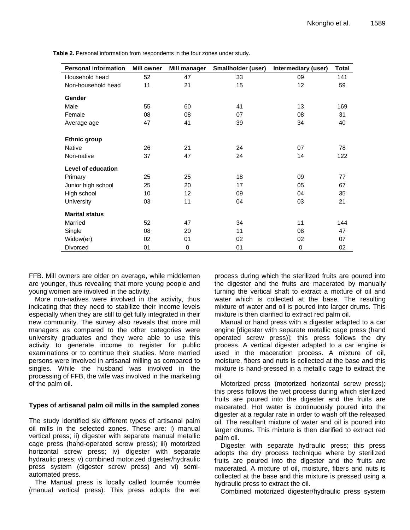| <b>Table 2.</b> Personal information from respondents in the four zones under study. |  |  |
|--------------------------------------------------------------------------------------|--|--|
|--------------------------------------------------------------------------------------|--|--|

| <b>Personal information</b> | <b>Mill owner</b> | Mill manager | Smallholder (user) | Intermediary (user) | <b>Total</b> |
|-----------------------------|-------------------|--------------|--------------------|---------------------|--------------|
| Household head              | 52                | 47           | 33                 | 09                  | 141          |
| Non-household head          | 11                | 21           | 15                 | 12                  | 59           |
| Gender                      |                   |              |                    |                     |              |
| Male                        | 55                | 60           | 41                 | 13                  | 169          |
| Female                      | 08                | 08           | 07                 | 08                  | 31           |
| Average age                 | 47                | 41           | 39                 | 34                  | 40           |
|                             |                   |              |                    |                     |              |
| <b>Ethnic group</b>         |                   |              |                    |                     |              |
| <b>Native</b>               | 26                | 21           | 24                 | 07                  | 78           |
| Non-native                  | 37                | 47           | 24                 | 14                  | 122          |
| Level of education          |                   |              |                    |                     |              |
| Primary                     | 25                | 25           | 18                 | 09                  | 77           |
| Junior high school          | 25                | 20           | 17                 | 05                  | 67           |
| High school                 | 10                | 12           | 09                 | 04                  | 35           |
| University                  | 03                | 11           | 04                 | 03                  | 21           |
| <b>Marital status</b>       |                   |              |                    |                     |              |
| Married                     | 52                | 47           | 34                 | 11                  | 144          |
| Single                      | 08                | 20           | 11                 | 08                  | 47           |
| Widow(er)                   | 02                | 01           | 02                 | 02                  | 07           |
| Divorced                    | 01                | 0            | 01                 | 0                   | 02           |

FFB. Mill owners are older on average, while middlemen are younger, thus revealing that more young people and young women are involved in the activity.

More non-natives were involved in the activity, thus indicating that they need to stabilize their income levels especially when they are still to get fully integrated in their new community. The survey also reveals that more mill managers as compared to the other categories were university graduates and they were able to use this activity to generate income to register for public examinations or to continue their studies. More married persons were involved in artisanal milling as compared to singles. While the husband was involved in the processing of FFB, the wife was involved in the marketing of the palm oil.

#### **Types of artisanal palm oil mills in the sampled zones**

The study identified six different types of artisanal palm oil mills in the selected zones. These are: i) manual vertical press; ii) digester with separate manual metallic cage press (hand-operated screw press); iii) motorized horizontal screw press; iv) digester with separate hydraulic press; v) combined motorized digester/hydraulic press system (digester screw press) and vi) semiautomated press.

The Manual press is locally called tournée tournée (manual vertical press): This press adopts the wet process during which the sterilized fruits are poured into the digester and the fruits are macerated by manually turning the vertical shaft to extract a mixture of oil and water which is collected at the base. The resulting mixture of water and oil is poured into larger drums. This mixture is then clarified to extract red palm oil.

Manual or hand press with a digester adapted to a car engine [digester with separate metallic cage press (hand operated screw press)]; this press follows the dry process. A vertical digester adapted to a car engine is used in the maceration process. A mixture of oil, moisture, fibers and nuts is collected at the base and this mixture is hand-pressed in a metallic cage to extract the oil.

Motorized press (motorized horizontal screw press); this press follows the wet process during which sterilized fruits are poured into the digester and the fruits are macerated. Hot water is continuously poured into the digester at a regular rate in order to wash off the released oil. The resultant mixture of water and oil is poured into larger drums. This mixture is then clarified to extract red palm oil.

Digester with separate hydraulic press; this press adopts the dry process technique where by sterilized fruits are poured into the digester and the fruits are macerated. A mixture of oil, moisture, fibers and nuts is collected at the base and this mixture is pressed using a hydraulic press to extract the oil.

Combined motorized digester/hydraulic press system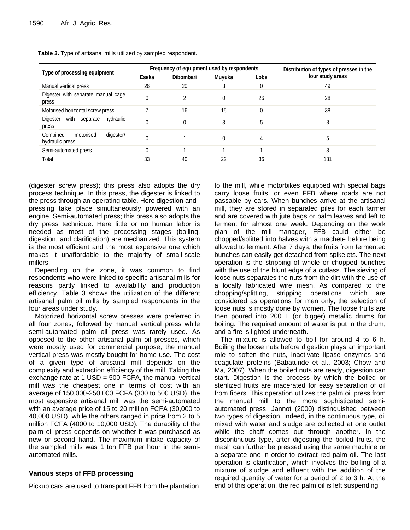|                                                       |       | Frequency of equipment used by respondents |    | Distribution of types of presses in the |                  |
|-------------------------------------------------------|-------|--------------------------------------------|----|-----------------------------------------|------------------|
| Type of processing equipment                          | Eseka | Dibombari<br>Muvuka                        |    | Lobe                                    | four study areas |
| Manual vertical press                                 | 26    | 20                                         |    |                                         | 49               |
| Digester with separate manual cage<br>press           | Ω     | C                                          |    | 26                                      | 28               |
| Motorised horizontal screw press                      |       | 16                                         | 15 | $\Omega$                                | 38               |
| with separate hydraulic<br>Digester<br>press          |       |                                            |    | .5                                      | 8                |
| Combined<br>motorised<br>digester/<br>hydraulic press |       |                                            |    |                                         | 5                |
| Semi-automated press                                  |       |                                            |    |                                         |                  |
| Total                                                 | 33    | 40                                         | 22 | 36                                      | 131              |

**Table 3.** Type of artisanal mills utilized by sampled respondent.

(digester screw press); this press also adopts the dry process technique. In this press, the digester is linked to the press through an operating table. Here digestion and pressing take place simultaneously powered with an engine. Semi-automated press; this press also adopts the dry press technique. Here little or no human labor is needed as most of the processing stages (boiling, digestion, and clarification) are mechanized. This system is the most efficient and the most expensive one which makes it unaffordable to the majority of small-scale millers.

Depending on the zone, it was common to find respondents who were linked to specific artisanal mills for reasons partly linked to availability and production efficiency. Table 3 shows the utilization of the different artisanal palm oil mills by sampled respondents in the four areas under study.

Motorized horizontal screw presses were preferred in all four zones, followed by manual vertical press while semi-automated palm oil press was rarely used. As opposed to the other artisanal palm oil presses, which were mostly used for commercial purpose, the manual vertical press was mostly bought for home use. The cost of a given type of artisanal mill depends on the complexity and extraction efficiency of the mill. Taking the exchange rate at 1 USD =  $500$  FCFA, the manual vertical mill was the cheapest one in terms of cost with an average of 150,000-250,000 FCFA (300 to 500 USD), the most expensive artisanal mill was the semi-automated with an average price of 15 to 20 million FCFA (30,000 to 40,000 USD), while the others ranged in price from 2 to 5 million FCFA (4000 to 10,000 USD). The durability of the palm oil press depends on whether it was purchased as new or second hand. The maximum intake capacity of the sampled mills was 1 ton FFB per hour in the semiautomated mills.

## **Various steps of FFB processing**

Pickup cars are used to transport FFB from the plantation

to the mill, while motorbikes equipped with special bags carry loose fruits, or even FFB where roads are not passable by cars. When bunches arrive at the artisanal mill, they are stored in separated piles for each farmer and are covered with jute bags or palm leaves and left to ferment for almost one week. Depending on the work plan of the mill manager, FFB could either be chopped/splitted into halves with a machete before being allowed to ferment. After 7 days, the fruits from fermented bunches can easily get detached from spikelets. The next operation is the stripping of whole or chopped bunches with the use of the blunt edge of a cutlass. The sieving of loose nuts separates the nuts from the dirt with the use of a locally fabricated wire mesh. As compared to the chopping/splitting, stripping operations which are considered as operations for men only, the selection of loose nuts is mostly done by women. The loose fruits are then poured into 200 L (or bigger) metallic drums for boiling. The required amount of water is put in the drum, and a fire is lighted underneath.

The mixture is allowed to boil for around 4 to 6 h. Boiling the loose nuts before digestion plays an important role to soften the nuts, inactivate lipase enzymes and coagulate proteins (Babatunde et al., 2003; Chow and Ma, 2007). When the boiled nuts are ready, digestion can start. Digestion is the process by which the boiled or sterilized fruits are macerated for easy separation of oil from fibers. This operation utilizes the palm oil press from the manual mill to the more sophisticated semiautomated press. Jannot (2000) distinguished between two types of digestion. Indeed, in the continuous type, oil mixed with water and sludge are collected at one outlet while the chaff comes out through another. In the discontinuous type, after digesting the boiled fruits, the mash can further be pressed using the same machine or a separate one in order to extract red palm oil. The last operation is clarification, which involves the boiling of a mixture of sludge and effluent with the addition of the required quantity of water for a period of 2 to 3 h. At the end of this operation, the red palm oil is left suspending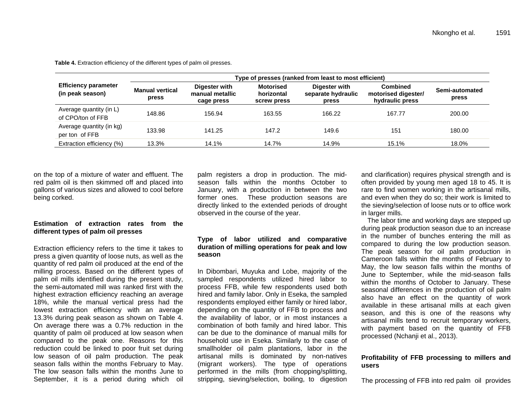**Table 4.** Extraction efficiency of the different types of palm oil presses.

|                                                 | Type of presses (ranked from least to most efficient) |                                                |                                        |                                              |                                                           |                         |  |  |  |  |
|-------------------------------------------------|-------------------------------------------------------|------------------------------------------------|----------------------------------------|----------------------------------------------|-----------------------------------------------------------|-------------------------|--|--|--|--|
| <b>Efficiency parameter</b><br>(in peak season) | <b>Manual vertical</b><br>press                       | Digester with<br>manual metallic<br>cage press | Motorised<br>horizontal<br>screw press | Digester with<br>separate hydraulic<br>press | <b>Combined</b><br>motorised digester/<br>hydraulic press | Semi-automated<br>press |  |  |  |  |
| Average quantity (in L)<br>of CPO/ton of FFB    | 148.86                                                | 156.94                                         | 163.55                                 | 166.22                                       | 167.77                                                    | 200.00                  |  |  |  |  |
| Average quantity (in kg)<br>per ton of FFB      | 133.98                                                | 141.25                                         | 147.2                                  | 149.6                                        | 151                                                       | 180.00                  |  |  |  |  |
| Extraction efficiency (%)                       | 13.3%                                                 | 14.1%                                          | 14.7%                                  | 14.9%                                        | 15.1%                                                     | 18.0%                   |  |  |  |  |

on the top of a mixture of water and effluent. The red palm oil is then skimmed off and placed into gallons of various sizes and allowed to cool before being corked.

## **Estimation of extraction rates from the different types of palm oil presses**

Extraction efficiency refers to the time it takes to press a given quantity of loose nuts, as well as the quantity of red palm oil produced at the end of the milling process. Based on the different types of palm oil mills identified during the present study, the semi-automated mill was ranked first with the highest extraction efficiency reaching an average 18%, while the manual vertical press had the lowest extraction efficiency with an average 13.3% during peak season as shown on Table 4. On average there was a 0.7% reduction in the quantity of palm oil produced at low season when compared to the peak one. Reasons for this reduction could be linked to poor fruit set during low season of oil palm production. The peak season falls within the months February to May. The low season falls within the months June to September, it is a period during which oil

palm registers a drop in production. The midseason falls within the months October to January, with a production in between the two former ones. These production seasons are directly linked to the extended periods of drought observed in the course of the year.

## **Type of labor utilized and comparative duration of milling operations for peak and low season**

In Dibombari, Muyuka and Lobe, majority of the sampled respondents utilized hired labor to process FFB, while few respondents used both hired and family labor. Only in Eseka, the sampled respondents employed either family or hired labor, depending on the quantity of FFB to process and the availability of labor, or in most instances a combination of both family and hired labor. This can be due to the dominance of manual mills for household use in Eseka. Similarly to the case of smallholder oil palm plantations, labor in the artisanal mills is dominated by non-natives (migrant workers). The type of operations performed in the mills (from chopping/splitting, stripping, sieving/selection, boiling, to digestion

and clarification) requires physical strength and is often provided by young men aged 18 to 45. It is rare to find women working in the artisanal mills, and even when they do so; their work is limited to the sieving/selection of loose nuts or to office work in larger mills.

The labor time and working days are stepped up during peak production season due to an increase in the number of bunches entering the mill as compared to during the low production season. The peak season for oil palm production in Cameroon falls within the months of February to May, the low season falls within the months of June to September, while the mid-season falls within the months of October to January. These seasonal differences in the production of oil palm also have an effect on the quantity of work available in these artisanal mills at each given season, and this is one of the reasons why artisanal mills tend to recruit temporary workers, with payment based on the quantity of FFB processed (Nchanji et al., 2013).

#### **Profitability of FFB processing to millers and users**

The processing of FFB into red palm oil provides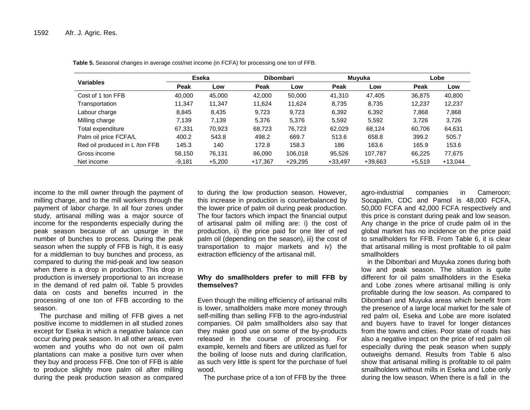| <b>Variables</b>               | Eseka    |          |           | <b>Dibombari</b> |         | Muyuka  | Lobe     |           |  |
|--------------------------------|----------|----------|-----------|------------------|---------|---------|----------|-----------|--|
|                                | Peak     | Low      | Peak      | Low              | Peak    | Low     | Peak     | Low       |  |
| Cost of 1 ton FFB              | 40.000   | 45.000   | 42,000    | 50,000           | 41.310  | 47.405  | 36,875   | 40,800    |  |
| Transportation                 | 11.347   | 11.347   | 11.624    | 11.624           | 8.735   | 8.735   | 12,237   | 12,237    |  |
| Labour charge                  | 8.845    | 8,435    | 9,723     | 9,723            | 6,392   | 6,392   | 7,868    | 7,868     |  |
| Milling charge                 | 7.139    | 7.139    | 5.376     | 5.376            | 5,592   | 5.592   | 3.726    | 3,726     |  |
| Total expenditure              | 67,331   | 70.923   | 68.723    | 76.723           | 62,029  | 68.124  | 60,706   | 64,631    |  |
| Palm oil price FCFA/L          | 400.2    | 543.8    | 498.2     | 669.7            | 513.6   | 658.8   | 399.2    | 505.7     |  |
| Red oil produced in L /ton FFB | 145.3    | 140      | 172.8     | 158.3            | 186     | 163.6   | 165.9    | 153.6     |  |
| Gross income                   | 58,150   | 76,131   | 86.090    | 106.018          | 95,526  | 107.787 | 66.225   | 77,675    |  |
| Net income                     | $-9.181$ | $+5.200$ | $+17.367$ | $+29.295$        | +33.497 | +39.663 | $+5.519$ | $+13.044$ |  |

**Table 5.** Seasonal changes in average cost/net income (in FCFA) for processing one ton of FFB.

income to the mill owner through the payment of milling charge, and to the mill workers through the payment of labor charge. In all four zones under study, artisanal milling was a major source of income for the respondents especially during the peak season because of an upsurge in the number of bunches to process. During the peak season when the supply of FFB is high, it is easy for a middleman to buy bunches and process, as compared to during the mid-peak and low season when there is a drop in production. This drop in production is inversely proportional to an increase in the demand of red palm oil. Table 5 provides data on costs and benefits incurred in the processing of one ton of FFB according to the season.

The purchase and milling of FFB gives a net positive income to middlemen in all studied zones except for Eseka in which a negative balance can occur during peak season. In all other areas, even women and youths who do not own oil palm plantations can make a positive turn over when they buy and process FFB. One ton of FFB is able to produce slightly more palm oil after milling during the peak production season as compared

to during the low production season. However, this increase in production is counterbalanced by the lower price of palm oil during peak production. The four factors which impact the financial output of artisanal palm oil milling are: i) the cost of production, ii) the price paid for one liter of red palm oil (depending on the season), iii) the cost of transportation to major markets and iv) the extraction efficiency of the artisanal mill.

#### **Why do smallholders prefer to mill FFB by themselves?**

Even though the milling efficiency of artisanal mills is lower, smallholders make more money through self-milling than selling FFB to the agro-industrial companies. Oil palm smallholders also say that they make good use on some of the by-products released in the course of processing. For example, kernels and fibers are utilized as fuel for the boiling of loose nuts and during clarification, as such very little is spent for the purchase of fuel wood.

The purchase price of a ton of FFB by the three

agro-industrial companies in Cameroon: Socapalm, CDC and Pamol is 48,000 FCFA, 50,000 FCFA and 42,000 FCFA respectively and this price is constant during peak and low season. Any change in the price of crude palm oil in the global market has no incidence on the price paid to smallholders for FFB. From Table 6, it is clear that artisanal milling is most profitable to oil palm smallholders

in the Dibombari and Muyuka zones during both low and peak season. The situation is quite different for oil palm smallholders in the Eseka and Lobe zones where artisanal milling is only profitable during the low season. As compared to Dibombari and Muyuka areas which benefit from the presence of a large local market for the sale of red palm oil, Eseka and Lobe are more isolated and buyers have to travel for longer distances from the towns and cities. Poor state of roads has also a negative impact on the price of red palm oil especially during the peak season when supply outweighs demand. Results from Table 6 also show that artisanal milling is profitable to oil palm smallholders without mills in Eseka and Lobe only during the low season. When there is a fall in the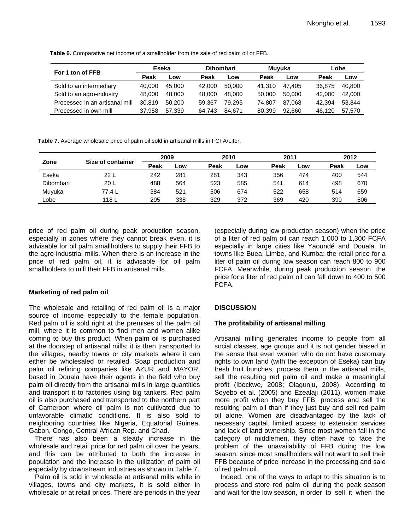| For 1 ton of FFB               | Eseka  |        |        | <b>Dibombari</b> |        | Muyuka |        | Lobe   |  |
|--------------------------------|--------|--------|--------|------------------|--------|--------|--------|--------|--|
|                                | Peak   | LOW    | Peak   | Low              | Peak   | Low    | Peak   | Low    |  |
| Sold to an intermediary        | 40,000 | 45,000 | 42,000 | 50,000           | 41.310 | 47.405 | 36.875 | 40.800 |  |
| Sold to an agro-industry       | 48,000 | 48,000 | 48,000 | 48.000           | 50,000 | 50,000 | 42,000 | 42,000 |  |
| Processed in an artisanal mill | 30,819 | 50.200 | 59,367 | 79.295           | 74.807 | 87.068 | 42.394 | 53.844 |  |
| Processed in own mill          | 37,958 | 57,339 | 64,743 | 84,671           | 80,399 | 92,660 | 46,120 | 57,570 |  |

**Table 6.** Comparative net income of a smallholder from the sale of red palm oil or FFB.

**Table 7.** Average wholesale price of palm oil sold in artisanal mills in FCFA/Liter.

| Zone      | <b>Size of container</b> | 2009 |     | 2010 |     | 2011 |     | 2012 |     |
|-----------|--------------------------|------|-----|------|-----|------|-----|------|-----|
|           |                          | Peak | Low | Peak | Low | Peak | Low | Peak | Low |
| Eseka     | 22 <sub>L</sub>          | 242  | 281 | 281  | 343 | 356  | 474 | 400  | 544 |
| Dibombari | 20 <sub>L</sub>          | 488  | 564 | 523  | 585 | 541  | 614 | 498  | 670 |
| Muyuka    | 77.4 L                   | 384  | 521 | 506  | 674 | 522  | 658 | 514  | 659 |
| ∟obe      | 118 L                    | 295  | 338 | 329  | 372 | 369  | 420 | 399  | 506 |

price of red palm oil during peak production season, especially in zones where they cannot break even, it is advisable for oil palm smallholders to supply their FFB to the agro-industrial mills. When there is an increase in the price of red palm oil, it is advisable for oil palm smallholders to mill their FFB in artisanal mills.

## **Marketing of red palm oil**

The wholesale and retailing of red palm oil is a major source of income especially to the female population. Red palm oil is sold right at the premises of the palm oil mill, where it is common to find men and women alike coming to buy this product. When palm oil is purchased at the doorstep of artisanal mills; it is then transported to the villages, nearby towns or city markets where it can either be wholesaled or retailed. Soap production and palm oil refining companies like AZUR and MAYOR, based in Douala have their agents in the field who buy palm oil directly from the artisanal mills in large quantities and transport it to factories using big tankers. Red palm oil is also purchased and transported to the northern part of Cameroon where oil palm is not cultivated due to unfavorable climatic conditions. It is also sold to neighboring countries like Nigeria, Equatorial Guinea, Gabon, Congo, Central African Rep. and Chad.

There has also been a steady increase in the wholesale and retail price for red palm oil over the years, and this can be attributed to both the increase in population and the increase in the utilization of palm oil especially by downstream industries as shown in Table 7.

Palm oil is sold in wholesale at artisanal mills while in villages, towns and city markets, it is sold either in wholesale or at retail prices. There are periods in the year (especially during low production season) when the price of a liter of red palm oil can reach 1,000 to 1,300 FCFA especially in large cities like Yaoundé and Douala. In towns like Buea, Limbe, and Kumba; the retail price for a liter of palm oil during low season can reach 800 to 900 FCFA. Meanwhile, during peak production season, the price for a liter of red palm oil can fall down to 400 to 500 FCFA.

## **DISCUSSION**

## **The profitability of artisanal milling**

Artisanal milling generates income to people from all social classes, age groups and it is not gender biased in the sense that even women who do not have customary rights to own land (with the exception of Eseka) can buy fresh fruit bunches, process them in the artisanal mills, sell the resulting red palm oil and make a meaningful profit (Ibeckwe, 2008; Olagunju, 2008). According to Soyebo et al. (2005) and Ezealaji (2011), women make more profit when they buy FFB, process and sell the resulting palm oil than if they just buy and sell red palm oil alone. Women are disadvantaged by the lack of necessary capital, limited access to extension services and lack of land ownership. Since most women fall in the category of middlemen, they often have to face the problem of the unavailability of FFB during the low season, since most smallholders will not want to sell their FFB because of price increase in the processing and sale of red palm oil.

Indeed, one of the ways to adapt to this situation is to process and store red palm oil during the peak season and wait for the low season, in order to sell it when the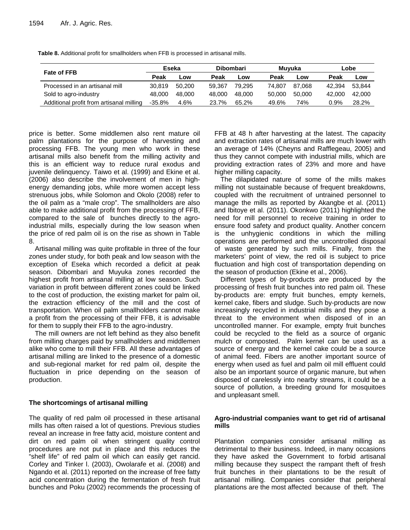**Table 8.** Additional profit for smallholders when FFB is processed in artisanal mills.

| <b>Fate of FFB</b>                       | Eseka     |        | Dibombari |        |        | Muvuka | Lobe   |        |
|------------------------------------------|-----------|--------|-----------|--------|--------|--------|--------|--------|
|                                          | Peak      | Low    | Peak      | Low    | Peak   | Low    | Peak   | Low    |
| Processed in an artisanal mill           | 30.819    | 50.200 | 59.367    | 79.295 | 74.807 | 87.068 | 42.394 | 53.844 |
| Sold to agro-industry                    | 48,000    | 48.000 | 48,000    | 48.000 | 50.000 | 50,000 | 42,000 | 42,000 |
| Additional profit from artisanal milling | $-35.8\%$ | 4.6%   | 23.7%     | 65.2%  | 49.6%  | 74%    | 0.9%   | 28.2%  |

price is better. Some middlemen also rent mature oil palm plantations for the purpose of harvesting and processing FFB. The young men who work in these artisanal mills also benefit from the milling activity and this is an efficient way to reduce rural exodus and juvenile delinquency. Taiwo et al. (1999) and Ekine et al. (2006) also describe the involvement of men in highenergy demanding jobs, while more women accept less strenuous jobs, while Solomon and Okolo (2008) refer to the oil palm as a "male crop". The smallholders are also able to make additional profit from the processing of FFB, compared to the sale of bunches directly to the agroindustrial mills, especially during the low season when the price of red palm oil is on the rise as shown in Table 8.

Artisanal milling was quite profitable in three of the four zones under study, for both peak and low season with the exception of Eseka which recorded a deficit at peak season. Dibombari and Muyuka zones recorded the highest profit from artisanal milling at low season. Such variation in profit between different zones could be linked to the cost of production, the existing market for palm oil, the extraction efficiency of the mill and the cost of transportation. When oil palm smallholders cannot make a profit from the processing of their FFB, it is advisable for them to supply their FFB to the agro-industry.

The mill owners are not left behind as they also benefit from milling charges paid by smallholders and middlemen alike who come to mill their FFB. All these advantages of artisanal milling are linked to the presence of a domestic and sub-regional market for red palm oil, despite the fluctuation in price depending on the season of production.

## **The shortcomings of artisanal milling**

The quality of red palm oil processed in these artisanal mills has often raised a lot of questions. Previous studies reveal an increase in free fatty acid, moisture content and dirt on red palm oil when stringent quality control procedures are not put in place and this reduces the "shelf life" of red palm oil which can easily get rancid. Corley and Tinker l. (2003), Owolarafe et al. (2008) and Ngando et al. (2011) reported on the increase of free fatty acid concentration during the fermentation of fresh fruit bunches and Poku (2002) recommends the processing of

FFB at 48 h after harvesting at the latest. The capacity and extraction rates of artisanal mills are much lower with an average of 14% (Cheyns and Rafflegeau, 2005) and thus they cannot compete with industrial mills, which are providing extraction rates of 23% and more and have higher milling capacity.

The dilapidated nature of some of the mills makes milling not sustainable because of frequent breakdowns, coupled with the recruitment of untrained personnel to manage the mills as reported by Akangbe et al. (2011) and Ibitoye et al. (2011). Okonkwo (2011) highlighted the need for mill personnel to receive training in order to ensure food safety and product quality. Another concern is the unhygienic conditions in which the milling operations are performed and the uncontrolled disposal of waste generated by such mills. Finally, from the marketers' point of view, the red oil is subject to price fluctuation and high cost of transportation depending on the season of production (Ekine et al., 2006).

Different types of by-products are produced by the processing of fresh fruit bunches into red palm oil. These by-products are: empty fruit bunches, empty kernels, kernel cake, fibers and sludge. Such by-products are now increasingly recycled in industrial mills and they pose a threat to the environment when disposed of in an uncontrolled manner. For example, empty fruit bunches could be recycled to the field as a source of organic mulch or composted. Palm kernel can be used as a source of energy and the kernel cake could be a source of animal feed. Fibers are another important source of energy when used as fuel and palm oil mill effluent could also be an important source of organic manure, but when disposed of carelessly into nearby streams, it could be a source of pollution, a breeding ground for mosquitoes and unpleasant smell.

## **Agro-industrial companies want to get rid of artisanal mills**

Plantation companies consider artisanal milling as detrimental to their business. Indeed, in many occasions they have asked the Government to forbid artisanal milling because they suspect the rampant theft of fresh fruit bunches in their plantations to be the result of artisanal milling. Companies consider that peripheral plantations are the most affected because of theft. The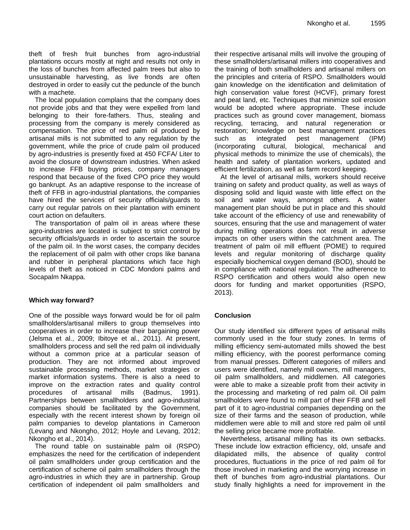theft of fresh fruit bunches from agro-industrial plantations occurs mostly at night and results not only in the loss of bunches from affected palm trees but also to unsustainable harvesting, as live fronds are often destroyed in order to easily cut the peduncle of the bunch with a machete.

The local population complains that the company does not provide jobs and that they were expelled from land belonging to their fore-fathers. Thus, stealing and processing from the company is merely considered as compensation. The price of red palm oil produced by artisanal mills is not submitted to any regulation by the government, while the price of crude palm oil produced by agro-industries is presently fixed at 450 FCFA/ Liter to avoid the closure of downstream industries. When asked to increase FFB buying prices, company managers respond that because of the fixed CPO price they would go bankrupt. As an adaptive response to the increase of theft of FFB in agro-industrial plantations, the companies have hired the services of security officials/guards to carry out regular patrols on their plantation with eminent court action on defaulters.

The transportation of palm oil in areas where these agro-industries are located is subject to strict control by security officials/guards in order to ascertain the source of the palm oil. In the worst cases, the company decides the replacement of oil palm with other crops like banana and rubber in peripheral plantations which face high levels of theft as noticed in CDC Mondoni palms and Socapalm Nkappa.

## **Which way forward?**

One of the possible ways forward would be for oil palm smallholders/artisanal millers to group themselves into cooperatives in order to increase their bargaining power (Jelsma et al., 2009; Ibitoye et al., 2011). At present, smallholders process and sell the red palm oil individually without a common price at a particular season of production. They are not informed about improved sustainable processing methods, market strategies or market information systems. There is also a need to improve on the extraction rates and quality control procedures of artisanal mills (Badmus, 1991). Partnerships between smallholders and agro-industrial companies should be facilitated by the Government, especially with the recent interest shown by foreign oil palm companies to develop plantations in Cameroon (Levang and Nkongho, 2012; Hoyle and Levang, 2012; Nkongho et al., 2014).

The round table on sustainable palm oil (RSPO) emphasizes the need for the certification of independent oil palm smallholders under group certification and the certification of scheme oil palm smallholders through the agro-industries in which they are in partnership. Group certification of independent oil palm smallholders and

their respective artisanal mills will involve the grouping of these smallholders/artisanal millers into cooperatives and the training of both smallholders and artisanal millers on the principles and criteria of RSPO. Smallholders would gain knowledge on the identification and delimitation of high conservation value forest (HCVF), primary forest and peat land, etc. Techniques that minimize soil erosion would be adopted where appropriate. These include practices such as ground cover management, biomass recycling, terracing, and natural regeneration or restoration; knowledge on best management practices such as integrated pest management (IPM) (incorporating cultural, biological, mechanical and physical methods to minimize the use of chemicals), the health and safety of plantation workers, updated and efficient fertilization, as well as farm record keeping.

At the level of artisanal mills, workers should receive training on safety and product quality, as well as ways of disposing solid and liquid waste with little effect on the soil and water ways, amongst others. A water management plan should be put in place and this should take account of the efficiency of use and renewability of sources, ensuring that the use and management of water during milling operations does not result in adverse impacts on other users within the catchment area. The treatment of palm oil mill effluent (POME) to required levels and regular monitoring of discharge quality especially biochemical oxygen demand (BOD), should be in compliance with national regulation. The adherence to RSPO certification and others would also open new doors for funding and market opportunities (RSPO, 2013).

## **Conclusion**

Our study identified six different types of artisanal mills commonly used in the four study zones. In terms of milling efficiency semi-automated mills showed the best milling efficiency, with the poorest performance coming from manual presses. Different categories of millers and users were identified, namely mill owners, mill managers, oil palm smallholders, and middlemen. All categories were able to make a sizeable profit from their activity in the processing and marketing of red palm oil. Oil palm smallholders were found to mill part of their FFB and sell part of it to agro-industrial companies depending on the size of their farms and the season of production, while middlemen were able to mill and store red palm oil until the selling price became more profitable.

Nevertheless, artisanal milling has its own setbacks. These include low extraction efficiency, old, unsafe and dilapidated mills, the absence of quality control procedures, fluctuations in the price of red palm oil for those involved in marketing and the worrying increase in theft of bunches from agro-industrial plantations. Our study finally highlights a need for improvement in the